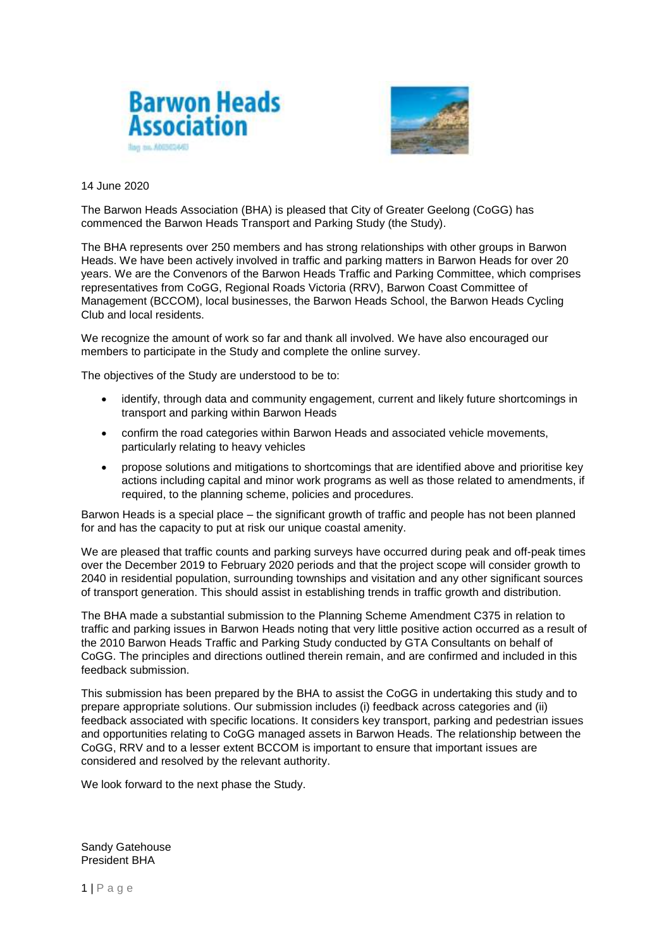



### 14 June 2020

The Barwon Heads Association (BHA) is pleased that City of Greater Geelong (CoGG) has commenced the Barwon Heads Transport and Parking Study (the Study).

The BHA represents over 250 members and has strong relationships with other groups in Barwon Heads. We have been actively involved in traffic and parking matters in Barwon Heads for over 20 years. We are the Convenors of the Barwon Heads Traffic and Parking Committee, which comprises representatives from CoGG, Regional Roads Victoria (RRV), Barwon Coast Committee of Management (BCCOM), local businesses, the Barwon Heads School, the Barwon Heads Cycling Club and local residents.

We recognize the amount of work so far and thank all involved. We have also encouraged our members to participate in the Study and complete the online survey.

The objectives of the Study are understood to be to:

- identify, through data and community engagement, current and likely future shortcomings in transport and parking within Barwon Heads
- confirm the road categories within Barwon Heads and associated vehicle movements, particularly relating to heavy vehicles
- propose solutions and mitigations to shortcomings that are identified above and prioritise key actions including capital and minor work programs as well as those related to amendments, if required, to the planning scheme, policies and procedures.

Barwon Heads is a special place – the significant growth of traffic and people has not been planned for and has the capacity to put at risk our unique coastal amenity.

We are pleased that traffic counts and parking surveys have occurred during peak and off-peak times over the December 2019 to February 2020 periods and that the project scope will consider growth to 2040 in residential population, surrounding townships and visitation and any other significant sources of transport generation. This should assist in establishing trends in traffic growth and distribution.

The BHA made a substantial submission to the Planning Scheme Amendment C375 in relation to traffic and parking issues in Barwon Heads noting that very little positive action occurred as a result of the 2010 Barwon Heads Traffic and Parking Study conducted by GTA Consultants on behalf of CoGG. The principles and directions outlined therein remain, and are confirmed and included in this feedback submission.

This submission has been prepared by the BHA to assist the CoGG in undertaking this study and to prepare appropriate solutions. Our submission includes (i) feedback across categories and (ii) feedback associated with specific locations. It considers key transport, parking and pedestrian issues and opportunities relating to CoGG managed assets in Barwon Heads. The relationship between the CoGG, RRV and to a lesser extent BCCOM is important to ensure that important issues are considered and resolved by the relevant authority.

We look forward to the next phase the Study.

Sandy Gatehouse President BHA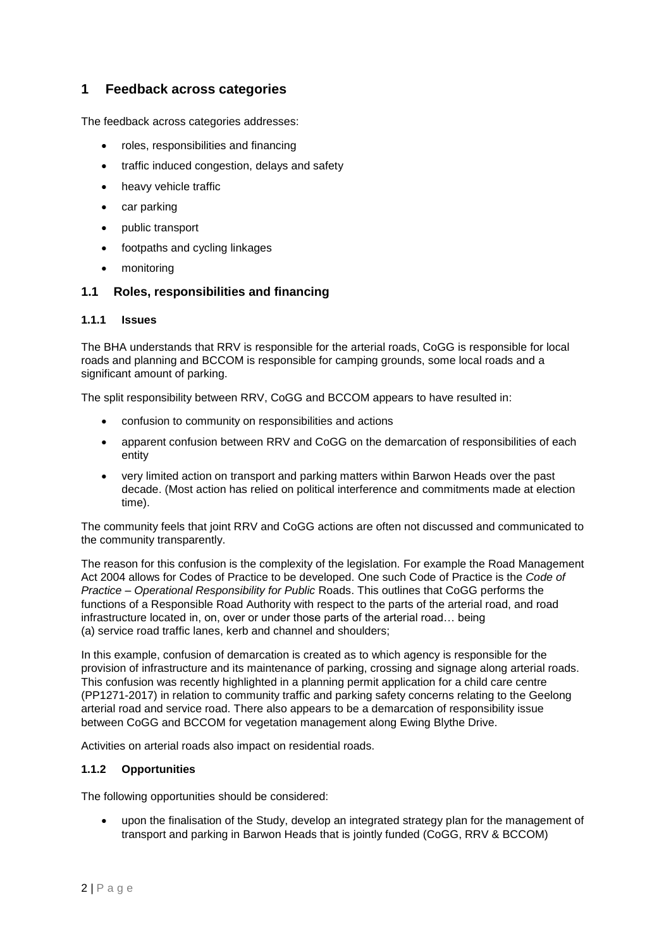# **1 Feedback across categories**

The feedback across categories addresses:

- roles, responsibilities and financing
- traffic induced congestion, delays and safety
- heavy vehicle traffic
- car parking
- public transport
- footpaths and cycling linkages
- monitoring

## **1.1 Roles, responsibilities and financing**

#### **1.1.1 Issues**

The BHA understands that RRV is responsible for the arterial roads, CoGG is responsible for local roads and planning and BCCOM is responsible for camping grounds, some local roads and a significant amount of parking.

The split responsibility between RRV, CoGG and BCCOM appears to have resulted in:

- confusion to community on responsibilities and actions
- apparent confusion between RRV and CoGG on the demarcation of responsibilities of each entity
- very limited action on transport and parking matters within Barwon Heads over the past decade. (Most action has relied on political interference and commitments made at election time).

The community feels that joint RRV and CoGG actions are often not discussed and communicated to the community transparently.

The reason for this confusion is the complexity of the legislation. For example the Road Management Act 2004 allows for Codes of Practice to be developed. One such Code of Practice is the *Code of Practice – Operational Responsibility for Public* Roads. This outlines that CoGG performs the functions of a Responsible Road Authority with respect to the parts of the arterial road, and road infrastructure located in, on, over or under those parts of the arterial road… being (a) service road traffic lanes, kerb and channel and shoulders;

In this example, confusion of demarcation is created as to which agency is responsible for the provision of infrastructure and its maintenance of parking, crossing and signage along arterial roads. This confusion was recently highlighted in a planning permit application for a child care centre (PP1271-2017) in relation to community traffic and parking safety concerns relating to the Geelong arterial road and service road. There also appears to be a demarcation of responsibility issue between CoGG and BCCOM for vegetation management along Ewing Blythe Drive.

Activities on arterial roads also impact on residential roads.

## **1.1.2 Opportunities**

The following opportunities should be considered:

 upon the finalisation of the Study, develop an integrated strategy plan for the management of transport and parking in Barwon Heads that is jointly funded (CoGG, RRV & BCCOM)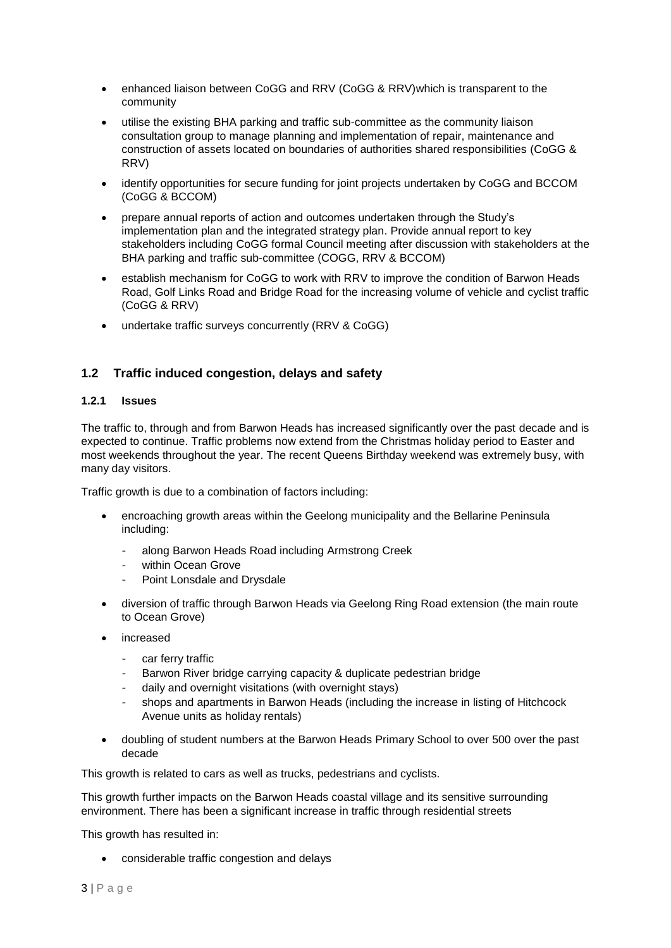- enhanced liaison between CoGG and RRV (CoGG & RRV)which is transparent to the community
- utilise the existing BHA parking and traffic sub-committee as the community liaison consultation group to manage planning and implementation of repair, maintenance and construction of assets located on boundaries of authorities shared responsibilities (CoGG & RRV)
- identify opportunities for secure funding for joint projects undertaken by CoGG and BCCOM (CoGG & BCCOM)
- prepare annual reports of action and outcomes undertaken through the Study's implementation plan and the integrated strategy plan. Provide annual report to key stakeholders including CoGG formal Council meeting after discussion with stakeholders at the BHA parking and traffic sub-committee (COGG, RRV & BCCOM)
- establish mechanism for CoGG to work with RRV to improve the condition of Barwon Heads Road, Golf Links Road and Bridge Road for the increasing volume of vehicle and cyclist traffic (CoGG & RRV)
- undertake traffic surveys concurrently (RRV & CoGG)

# **1.2 Traffic induced congestion, delays and safety**

## **1.2.1 Issues**

The traffic to, through and from Barwon Heads has increased significantly over the past decade and is expected to continue. Traffic problems now extend from the Christmas holiday period to Easter and most weekends throughout the year. The recent Queens Birthday weekend was extremely busy, with many day visitors.

Traffic growth is due to a combination of factors including:

- encroaching growth areas within the Geelong municipality and the Bellarine Peninsula including:
	- along Barwon Heads Road including Armstrong Creek
	- within Ocean Grove
	- Point Lonsdale and Drysdale
- diversion of traffic through Barwon Heads via Geelong Ring Road extension (the main route to Ocean Grove)
- increased
	- car ferry traffic
	- Barwon River bridge carrying capacity & duplicate pedestrian bridge
	- daily and overnight visitations (with overnight stays)
	- shops and apartments in Barwon Heads (including the increase in listing of Hitchcock Avenue units as holiday rentals)
- doubling of student numbers at the Barwon Heads Primary School to over 500 over the past decade

This growth is related to cars as well as trucks, pedestrians and cyclists.

This growth further impacts on the Barwon Heads coastal village and its sensitive surrounding environment. There has been a significant increase in traffic through residential streets

This growth has resulted in:

considerable traffic congestion and delays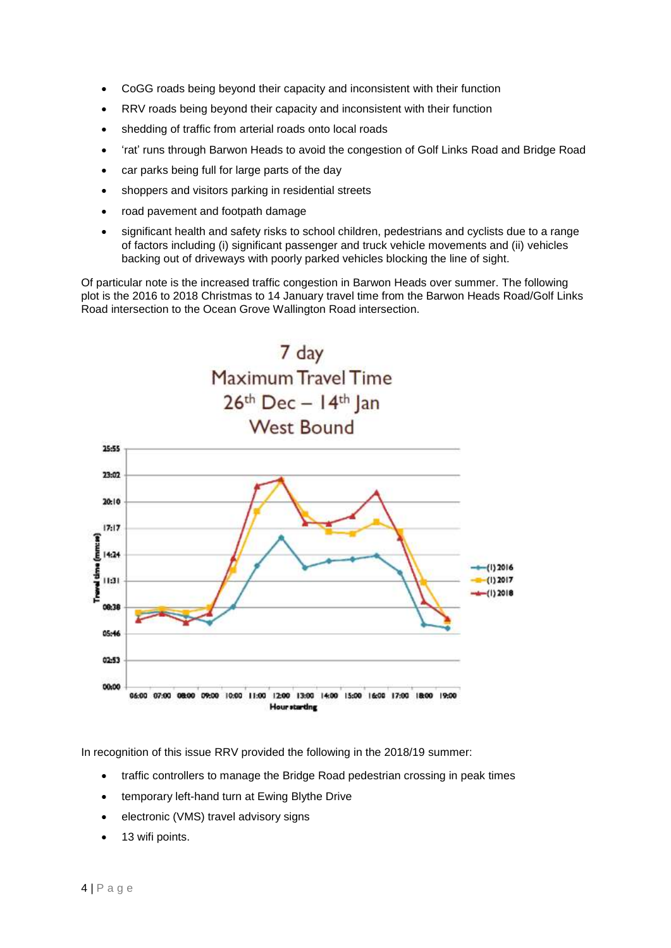- CoGG roads being beyond their capacity and inconsistent with their function
- RRV roads being beyond their capacity and inconsistent with their function
- shedding of traffic from arterial roads onto local roads
- 'rat' runs through Barwon Heads to avoid the congestion of Golf Links Road and Bridge Road
- car parks being full for large parts of the day
- shoppers and visitors parking in residential streets
- road pavement and footpath damage
- significant health and safety risks to school children, pedestrians and cyclists due to a range of factors including (i) significant passenger and truck vehicle movements and (ii) vehicles backing out of driveways with poorly parked vehicles blocking the line of sight.

Of particular note is the increased traffic congestion in Barwon Heads over summer. The following plot is the 2016 to 2018 Christmas to 14 January travel time from the Barwon Heads Road/Golf Links Road intersection to the Ocean Grove Wallington Road intersection.



In recognition of this issue RRV provided the following in the 2018/19 summer:

- traffic controllers to manage the Bridge Road pedestrian crossing in peak times
- temporary left-hand turn at Ewing Blythe Drive
- electronic (VMS) travel advisory signs
- 13 wifi points.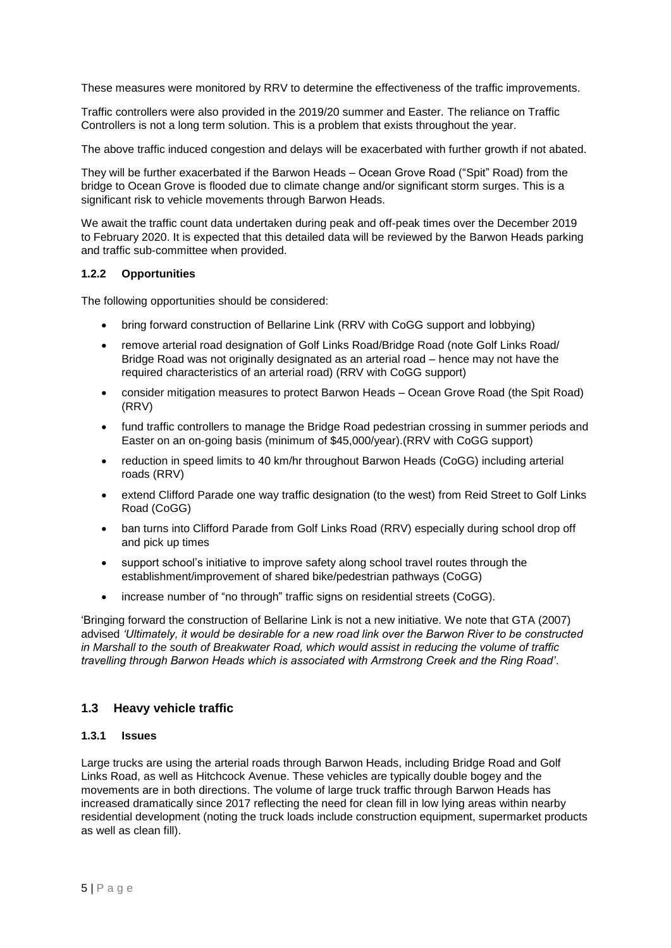These measures were monitored by RRV to determine the effectiveness of the traffic improvements.

Traffic controllers were also provided in the 2019/20 summer and Easter. The reliance on Traffic Controllers is not a long term solution. This is a problem that exists throughout the year.

The above traffic induced congestion and delays will be exacerbated with further growth if not abated.

They will be further exacerbated if the Barwon Heads – Ocean Grove Road ("Spit" Road) from the bridge to Ocean Grove is flooded due to climate change and/or significant storm surges. This is a significant risk to vehicle movements through Barwon Heads.

We await the traffic count data undertaken during peak and off-peak times over the December 2019 to February 2020. It is expected that this detailed data will be reviewed by the Barwon Heads parking and traffic sub-committee when provided.

## **1.2.2 Opportunities**

The following opportunities should be considered:

- bring forward construction of Bellarine Link (RRV with CoGG support and lobbying)
- remove arterial road designation of Golf Links Road/Bridge Road (note Golf Links Road/ Bridge Road was not originally designated as an arterial road – hence may not have the required characteristics of an arterial road) (RRV with CoGG support)
- consider mitigation measures to protect Barwon Heads Ocean Grove Road (the Spit Road) (RRV)
- fund traffic controllers to manage the Bridge Road pedestrian crossing in summer periods and Easter on an on-going basis (minimum of \$45,000/year).(RRV with CoGG support)
- reduction in speed limits to 40 km/hr throughout Barwon Heads (CoGG) including arterial roads (RRV)
- extend Clifford Parade one way traffic designation (to the west) from Reid Street to Golf Links Road (CoGG)
- ban turns into Clifford Parade from Golf Links Road (RRV) especially during school drop off and pick up times
- support school's initiative to improve safety along school travel routes through the establishment/improvement of shared bike/pedestrian pathways (CoGG)
- increase number of "no through" traffic signs on residential streets (CoGG).

'Bringing forward the construction of Bellarine Link is not a new initiative. We note that GTA (2007) advised *'Ultimately, it would be desirable for a new road link over the Barwon River to be constructed in Marshall to the south of Breakwater Road, which would assist in reducing the volume of traffic travelling through Barwon Heads which is associated with Armstrong Creek and the Ring Road'*.

## **1.3 Heavy vehicle traffic**

#### **1.3.1 Issues**

Large trucks are using the arterial roads through Barwon Heads, including Bridge Road and Golf Links Road, as well as Hitchcock Avenue. These vehicles are typically double bogey and the movements are in both directions. The volume of large truck traffic through Barwon Heads has increased dramatically since 2017 reflecting the need for clean fill in low lying areas within nearby residential development (noting the truck loads include construction equipment, supermarket products as well as clean fill).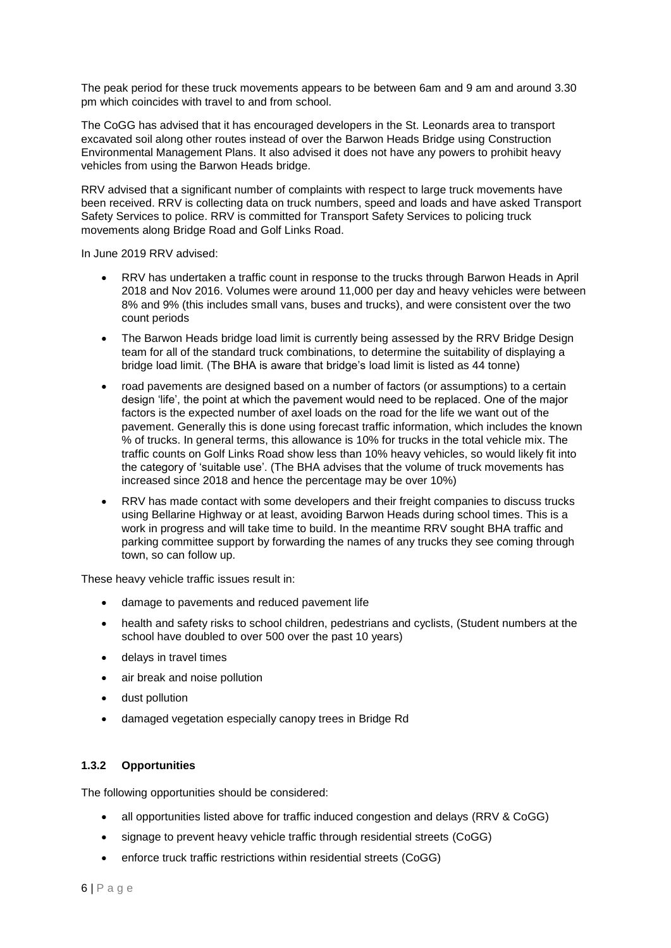The peak period for these truck movements appears to be between 6am and 9 am and around 3.30 pm which coincides with travel to and from school.

The CoGG has advised that it has encouraged developers in the St. Leonards area to transport excavated soil along other routes instead of over the Barwon Heads Bridge using Construction Environmental Management Plans. It also advised it does not have any powers to prohibit heavy vehicles from using the Barwon Heads bridge.

RRV advised that a significant number of complaints with respect to large truck movements have been received. RRV is collecting data on truck numbers, speed and loads and have asked Transport Safety Services to police. RRV is committed for Transport Safety Services to policing truck movements along Bridge Road and Golf Links Road.

In June 2019 RRV advised:

- RRV has undertaken a traffic count in response to the trucks through Barwon Heads in April 2018 and Nov 2016. Volumes were around 11,000 per day and heavy vehicles were between 8% and 9% (this includes small vans, buses and trucks), and were consistent over the two count periods
- The Barwon Heads bridge load limit is currently being assessed by the RRV Bridge Design team for all of the standard truck combinations, to determine the suitability of displaying a bridge load limit. (The BHA is aware that bridge's load limit is listed as 44 tonne)
- road pavements are designed based on a number of factors (or assumptions) to a certain design 'life', the point at which the pavement would need to be replaced. One of the major factors is the expected number of axel loads on the road for the life we want out of the pavement. Generally this is done using forecast traffic information, which includes the known % of trucks. In general terms, this allowance is 10% for trucks in the total vehicle mix. The traffic counts on Golf Links Road show less than 10% heavy vehicles, so would likely fit into the category of 'suitable use'. (The BHA advises that the volume of truck movements has increased since 2018 and hence the percentage may be over 10%)
- RRV has made contact with some developers and their freight companies to discuss trucks using Bellarine Highway or at least, avoiding Barwon Heads during school times. This is a work in progress and will take time to build. In the meantime RRV sought BHA traffic and parking committee support by forwarding the names of any trucks they see coming through town, so can follow up.

These heavy vehicle traffic issues result in:

- damage to pavements and reduced pavement life
- health and safety risks to school children, pedestrians and cyclists, (Student numbers at the school have doubled to over 500 over the past 10 years)
- delays in travel times
- air break and noise pollution
- dust pollution
- damaged vegetation especially canopy trees in Bridge Rd

## **1.3.2 Opportunities**

The following opportunities should be considered:

- all opportunities listed above for traffic induced congestion and delays (RRV & CoGG)
- signage to prevent heavy vehicle traffic through residential streets (CoGG)
- enforce truck traffic restrictions within residential streets (CoGG)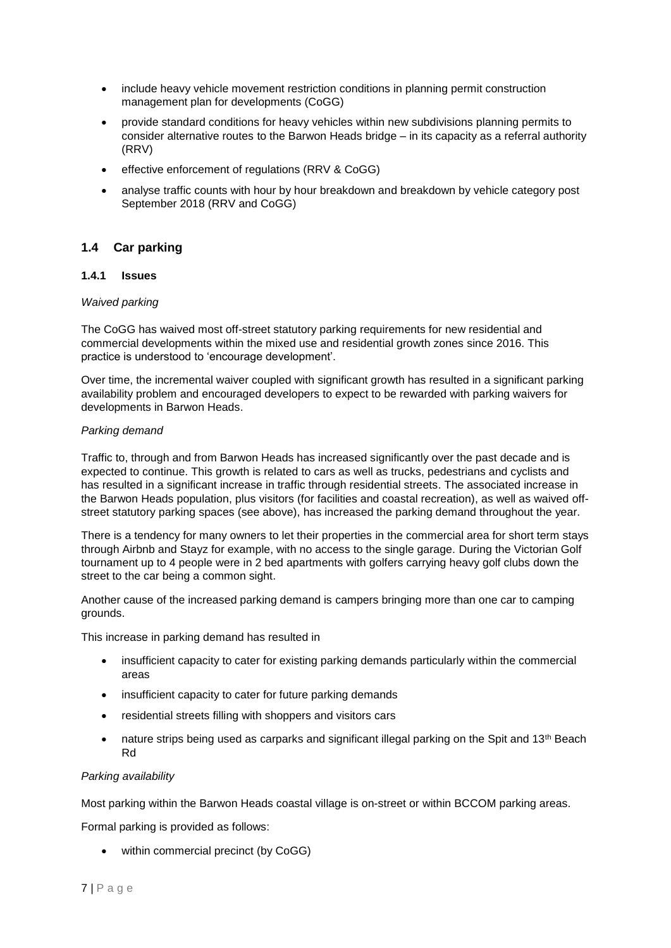- include heavy vehicle movement restriction conditions in planning permit construction management plan for developments (CoGG)
- provide standard conditions for heavy vehicles within new subdivisions planning permits to consider alternative routes to the Barwon Heads bridge – in its capacity as a referral authority (RRV)
- effective enforcement of regulations (RRV & CoGG)
- analyse traffic counts with hour by hour breakdown and breakdown by vehicle category post September 2018 (RRV and CoGG)

# **1.4 Car parking**

## **1.4.1 Issues**

## *Waived parking*

The CoGG has waived most off-street statutory parking requirements for new residential and commercial developments within the mixed use and residential growth zones since 2016. This practice is understood to 'encourage development'.

Over time, the incremental waiver coupled with significant growth has resulted in a significant parking availability problem and encouraged developers to expect to be rewarded with parking waivers for developments in Barwon Heads.

## *Parking demand*

Traffic to, through and from Barwon Heads has increased significantly over the past decade and is expected to continue. This growth is related to cars as well as trucks, pedestrians and cyclists and has resulted in a significant increase in traffic through residential streets. The associated increase in the Barwon Heads population, plus visitors (for facilities and coastal recreation), as well as waived offstreet statutory parking spaces (see above), has increased the parking demand throughout the year.

There is a tendency for many owners to let their properties in the commercial area for short term stays through Airbnb and Stayz for example, with no access to the single garage. During the Victorian Golf tournament up to 4 people were in 2 bed apartments with golfers carrying heavy golf clubs down the street to the car being a common sight.

Another cause of the increased parking demand is campers bringing more than one car to camping grounds.

This increase in parking demand has resulted in

- insufficient capacity to cater for existing parking demands particularly within the commercial areas
- insufficient capacity to cater for future parking demands
- residential streets filling with shoppers and visitors cars
- nature strips being used as carparks and significant illegal parking on the Spit and 13<sup>th</sup> Beach Rd

## *Parking availability*

Most parking within the Barwon Heads coastal village is on-street or within BCCOM parking areas.

Formal parking is provided as follows:

• within commercial precinct (by CoGG)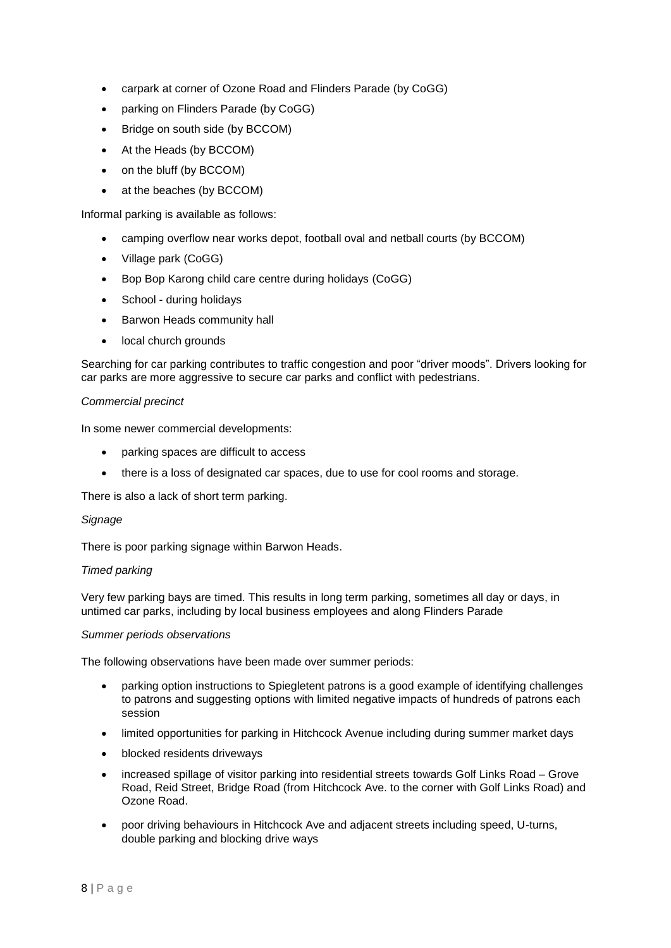- carpark at corner of Ozone Road and Flinders Parade (by CoGG)
- parking on Flinders Parade (by CoGG)
- Bridge on south side (by BCCOM)
- At the Heads (by BCCOM)
- on the bluff (by BCCOM)
- at the beaches (by BCCOM)

Informal parking is available as follows:

- camping overflow near works depot, football oval and netball courts (by BCCOM)
- Village park (CoGG)
- Bop Bop Karong child care centre during holidays (CoGG)
- School during holidays
- Barwon Heads community hall
- local church grounds

Searching for car parking contributes to traffic congestion and poor "driver moods". Drivers looking for car parks are more aggressive to secure car parks and conflict with pedestrians.

## *Commercial precinct*

In some newer commercial developments:

- parking spaces are difficult to access
- there is a loss of designated car spaces, due to use for cool rooms and storage.

There is also a lack of short term parking.

#### *Signage*

There is poor parking signage within Barwon Heads.

#### *Timed parking*

Very few parking bays are timed. This results in long term parking, sometimes all day or days, in untimed car parks, including by local business employees and along Flinders Parade

#### *Summer periods observations*

The following observations have been made over summer periods:

- parking option instructions to Spiegletent patrons is a good example of identifying challenges to patrons and suggesting options with limited negative impacts of hundreds of patrons each session
- limited opportunities for parking in Hitchcock Avenue including during summer market days
- blocked residents driveways
- increased spillage of visitor parking into residential streets towards Golf Links Road Grove Road, Reid Street, Bridge Road (from Hitchcock Ave. to the corner with Golf Links Road) and Ozone Road.
- poor driving behaviours in Hitchcock Ave and adjacent streets including speed, U-turns, double parking and blocking drive ways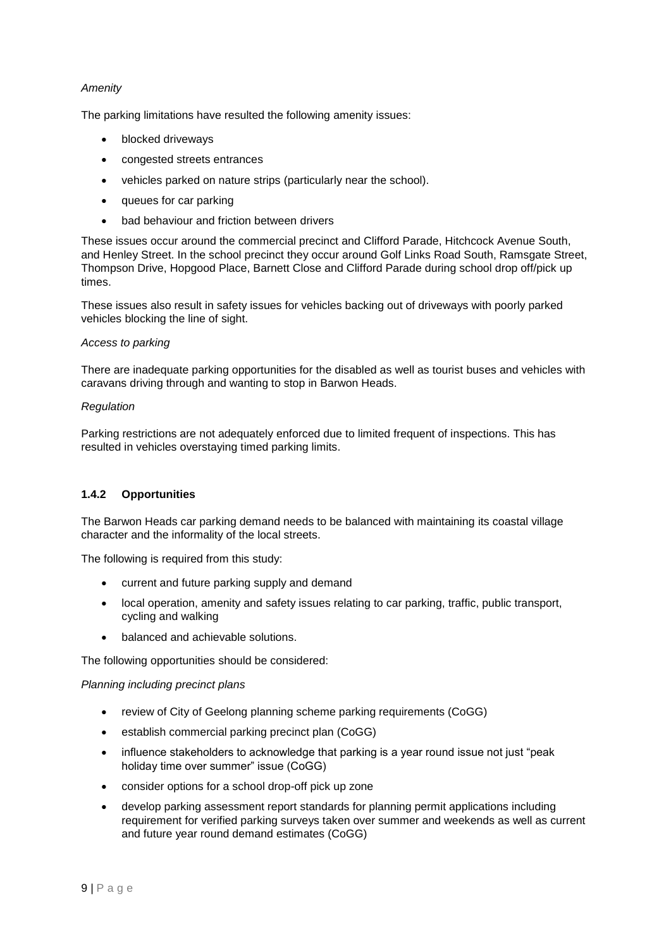## *Amenity*

The parking limitations have resulted the following amenity issues:

- blocked driveways
- congested streets entrances
- vehicles parked on nature strips (particularly near the school).
- queues for car parking
- bad behaviour and friction between drivers

These issues occur around the commercial precinct and Clifford Parade, Hitchcock Avenue South, and Henley Street. In the school precinct they occur around Golf Links Road South, Ramsgate Street, Thompson Drive, Hopgood Place, Barnett Close and Clifford Parade during school drop off/pick up times.

These issues also result in safety issues for vehicles backing out of driveways with poorly parked vehicles blocking the line of sight.

## *Access to parking*

There are inadequate parking opportunities for the disabled as well as tourist buses and vehicles with caravans driving through and wanting to stop in Barwon Heads.

## *Regulation*

Parking restrictions are not adequately enforced due to limited frequent of inspections. This has resulted in vehicles overstaying timed parking limits.

## **1.4.2 Opportunities**

The Barwon Heads car parking demand needs to be balanced with maintaining its coastal village character and the informality of the local streets.

The following is required from this study:

- current and future parking supply and demand
- local operation, amenity and safety issues relating to car parking, traffic, public transport, cycling and walking
- balanced and achievable solutions.

The following opportunities should be considered:

#### *Planning including precinct plans*

- review of City of Geelong planning scheme parking requirements (CoGG)
- establish commercial parking precinct plan (CoGG)
- influence stakeholders to acknowledge that parking is a year round issue not just "peak holiday time over summer" issue (CoGG)
- consider options for a school drop-off pick up zone
- develop parking assessment report standards for planning permit applications including requirement for verified parking surveys taken over summer and weekends as well as current and future year round demand estimates (CoGG)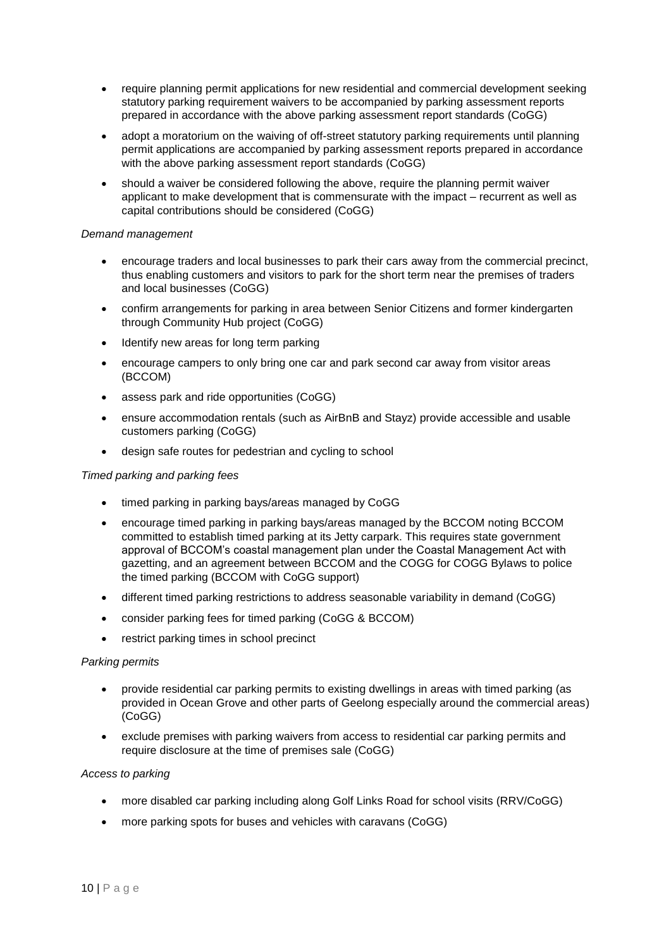- require planning permit applications for new residential and commercial development seeking statutory parking requirement waivers to be accompanied by parking assessment reports prepared in accordance with the above parking assessment report standards (CoGG)
- adopt a moratorium on the waiving of off-street statutory parking requirements until planning permit applications are accompanied by parking assessment reports prepared in accordance with the above parking assessment report standards (CoGG)
- should a waiver be considered following the above, require the planning permit waiver applicant to make development that is commensurate with the impact – recurrent as well as capital contributions should be considered (CoGG)

## *Demand management*

- encourage traders and local businesses to park their cars away from the commercial precinct, thus enabling customers and visitors to park for the short term near the premises of traders and local businesses (CoGG)
- confirm arrangements for parking in area between Senior Citizens and former kindergarten through Community Hub project (CoGG)
- Identify new areas for long term parking
- encourage campers to only bring one car and park second car away from visitor areas (BCCOM)
- assess park and ride opportunities (CoGG)
- ensure accommodation rentals (such as AirBnB and Stayz) provide accessible and usable customers parking (CoGG)
- design safe routes for pedestrian and cycling to school

#### *Timed parking and parking fees*

- timed parking in parking bays/areas managed by CoGG
- encourage timed parking in parking bays/areas managed by the BCCOM noting BCCOM committed to establish timed parking at its Jetty carpark. This requires state government approval of BCCOM's coastal management plan under the Coastal Management Act with gazetting, and an agreement between BCCOM and the COGG for COGG Bylaws to police the timed parking (BCCOM with CoGG support)
- different timed parking restrictions to address seasonable variability in demand (CoGG)
- consider parking fees for timed parking (CoGG & BCCOM)
- restrict parking times in school precinct

## *Parking permits*

- provide residential car parking permits to existing dwellings in areas with timed parking (as provided in Ocean Grove and other parts of Geelong especially around the commercial areas) (CoGG)
- exclude premises with parking waivers from access to residential car parking permits and require disclosure at the time of premises sale (CoGG)

#### *Access to parking*

- more disabled car parking including along Golf Links Road for school visits (RRV/CoGG)
- more parking spots for buses and vehicles with caravans (CoGG)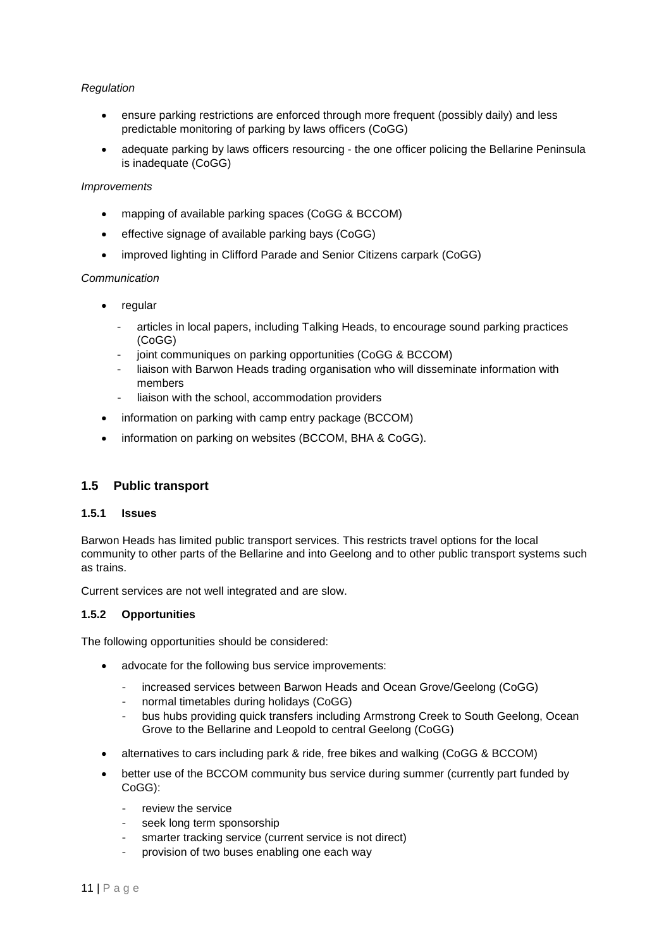## *Regulation*

- ensure parking restrictions are enforced through more frequent (possibly daily) and less predictable monitoring of parking by laws officers (CoGG)
- adequate parking by laws officers resourcing the one officer policing the Bellarine Peninsula is inadequate (CoGG)

#### *Improvements*

- mapping of available parking spaces (CoGG & BCCOM)
- effective signage of available parking bays (CoGG)
- improved lighting in Clifford Parade and Senior Citizens carpark (CoGG)

#### *Communication*

- regular
	- articles in local papers, including Talking Heads, to encourage sound parking practices (CoGG)
	- joint communiques on parking opportunities (CoGG & BCCOM)
	- liaison with Barwon Heads trading organisation who will disseminate information with members
	- liaison with the school, accommodation providers
- information on parking with camp entry package (BCCOM)
- information on parking on websites (BCCOM, BHA & CoGG).

## **1.5 Public transport**

#### **1.5.1 Issues**

Barwon Heads has limited public transport services. This restricts travel options for the local community to other parts of the Bellarine and into Geelong and to other public transport systems such as trains.

Current services are not well integrated and are slow.

## **1.5.2 Opportunities**

The following opportunities should be considered:

- advocate for the following bus service improvements:
	- increased services between Barwon Heads and Ocean Grove/Geelong (CoGG)
	- normal timetables during holidays (CoGG)
	- bus hubs providing quick transfers including Armstrong Creek to South Geelong, Ocean Grove to the Bellarine and Leopold to central Geelong (CoGG)
- alternatives to cars including park & ride, free bikes and walking (CoGG & BCCOM)
- better use of the BCCOM community bus service during summer (currently part funded by CoGG):
	- review the service
	- seek long term sponsorship
	- smarter tracking service (current service is not direct)
	- provision of two buses enabling one each way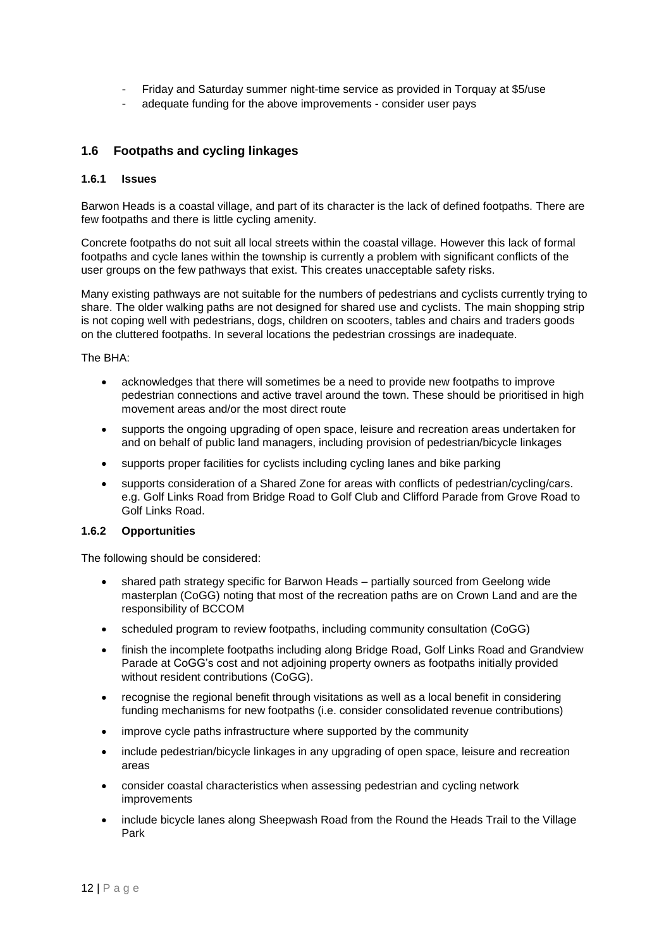- Friday and Saturday summer night-time service as provided in Torquay at \$5/use
- adequate funding for the above improvements consider user pays

## **1.6 Footpaths and cycling linkages**

## **1.6.1 Issues**

Barwon Heads is a coastal village, and part of its character is the lack of defined footpaths. There are few footpaths and there is little cycling amenity.

Concrete footpaths do not suit all local streets within the coastal village. However this lack of formal footpaths and cycle lanes within the township is currently a problem with significant conflicts of the user groups on the few pathways that exist. This creates unacceptable safety risks.

Many existing pathways are not suitable for the numbers of pedestrians and cyclists currently trying to share. The older walking paths are not designed for shared use and cyclists. The main shopping strip is not coping well with pedestrians, dogs, children on scooters, tables and chairs and traders goods on the cluttered footpaths. In several locations the pedestrian crossings are inadequate.

The BHA:

- acknowledges that there will sometimes be a need to provide new footpaths to improve pedestrian connections and active travel around the town. These should be prioritised in high movement areas and/or the most direct route
- supports the ongoing upgrading of open space, leisure and recreation areas undertaken for and on behalf of public land managers, including provision of pedestrian/bicycle linkages
- supports proper facilities for cyclists including cycling lanes and bike parking
- supports consideration of a Shared Zone for areas with conflicts of pedestrian/cycling/cars. e.g. Golf Links Road from Bridge Road to Golf Club and Clifford Parade from Grove Road to Golf Links Road.

### **1.6.2 Opportunities**

The following should be considered:

- shared path strategy specific for Barwon Heads partially sourced from Geelong wide masterplan (CoGG) noting that most of the recreation paths are on Crown Land and are the responsibility of BCCOM
- scheduled program to review footpaths, including community consultation (CoGG)
- finish the incomplete footpaths including along Bridge Road, Golf Links Road and Grandview Parade at CoGG's cost and not adjoining property owners as footpaths initially provided without resident contributions (CoGG).
- recognise the regional benefit through visitations as well as a local benefit in considering funding mechanisms for new footpaths (i.e. consider consolidated revenue contributions)
- improve cycle paths infrastructure where supported by the community
- include pedestrian/bicycle linkages in any upgrading of open space, leisure and recreation areas
- consider coastal characteristics when assessing pedestrian and cycling network improvements
- include bicycle lanes along Sheepwash Road from the Round the Heads Trail to the Village Park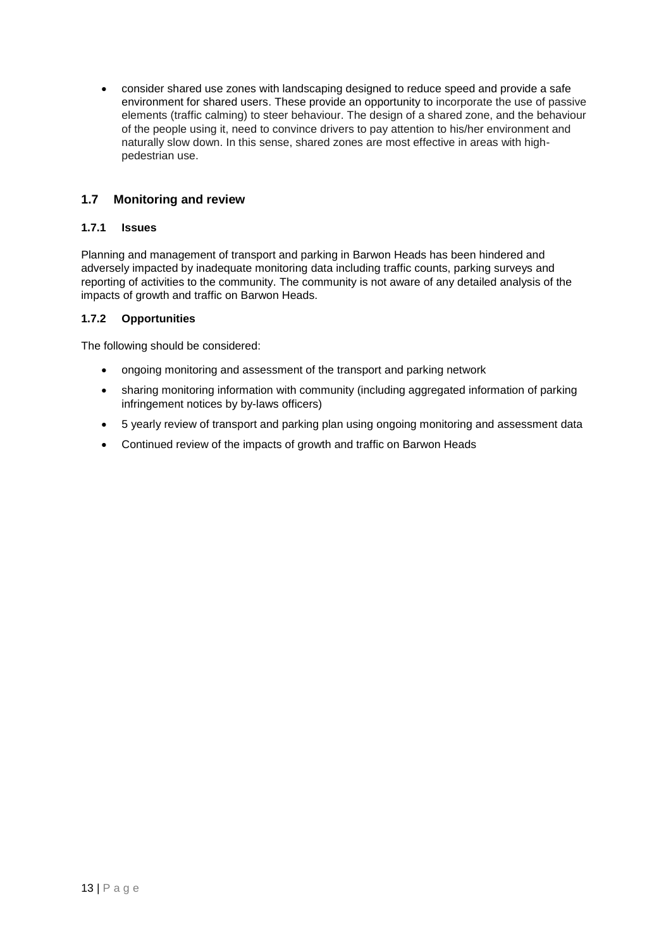consider shared use zones with landscaping designed to reduce speed and provide a safe environment for shared users. These provide an opportunity to incorporate the use of passive elements (traffic calming) to steer behaviour. The design of a shared zone, and the behaviour of the people using it, need to convince drivers to pay attention to his/her environment and naturally slow down. In this sense, shared zones are most effective in areas with highpedestrian use.

# **1.7 Monitoring and review**

## **1.7.1 Issues**

Planning and management of transport and parking in Barwon Heads has been hindered and adversely impacted by inadequate monitoring data including traffic counts, parking surveys and reporting of activities to the community. The community is not aware of any detailed analysis of the impacts of growth and traffic on Barwon Heads.

## **1.7.2 Opportunities**

The following should be considered:

- ongoing monitoring and assessment of the transport and parking network
- sharing monitoring information with community (including aggregated information of parking infringement notices by by-laws officers)
- 5 yearly review of transport and parking plan using ongoing monitoring and assessment data
- Continued review of the impacts of growth and traffic on Barwon Heads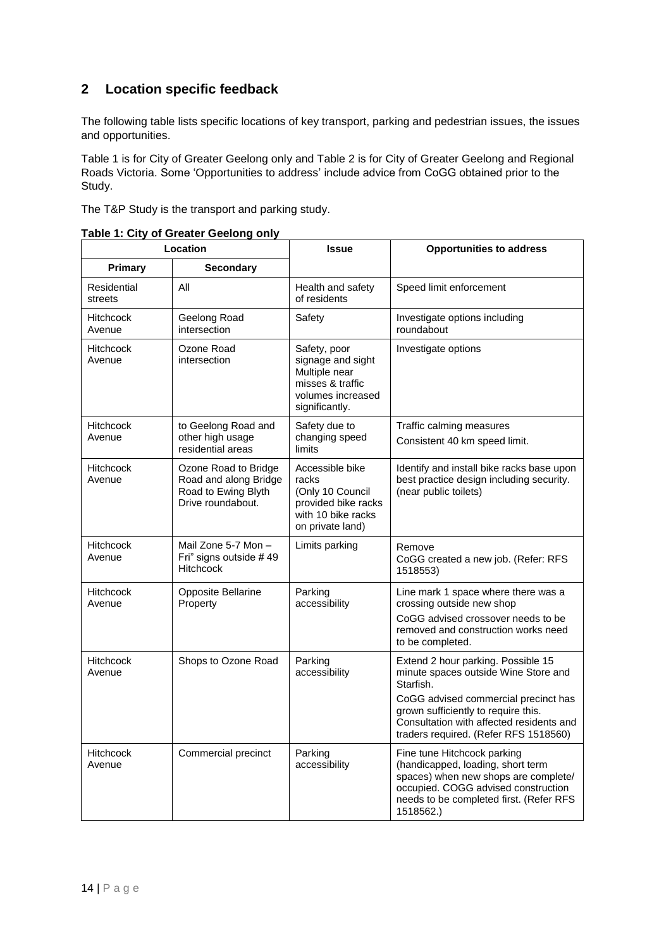# **2 Location specific feedback**

The following table lists specific locations of key transport, parking and pedestrian issues, the issues and opportunities.

Table 1 is for City of Greater Geelong only and Table 2 is for City of Greater Geelong and Regional Roads Victoria. Some 'Opportunities to address' include advice from CoGG obtained prior to the Study.

The T&P Study is the transport and parking study.

| Location                   |                                                                                           | <b>Issue</b>                                                                                                  | <b>Opportunities to address</b>                                                                                                                                                                                                                             |
|----------------------------|-------------------------------------------------------------------------------------------|---------------------------------------------------------------------------------------------------------------|-------------------------------------------------------------------------------------------------------------------------------------------------------------------------------------------------------------------------------------------------------------|
| Primary                    | <b>Secondary</b>                                                                          |                                                                                                               |                                                                                                                                                                                                                                                             |
| Residential<br>streets     | All                                                                                       | Health and safety<br>of residents                                                                             | Speed limit enforcement                                                                                                                                                                                                                                     |
| <b>Hitchcock</b><br>Avenue | Geelong Road<br>intersection                                                              | Safety                                                                                                        | Investigate options including<br>roundabout                                                                                                                                                                                                                 |
| <b>Hitchcock</b><br>Avenue | Ozone Road<br>intersection                                                                | Safety, poor<br>signage and sight<br>Multiple near<br>misses & traffic<br>volumes increased<br>significantly. | Investigate options                                                                                                                                                                                                                                         |
| <b>Hitchcock</b><br>Avenue | to Geelong Road and<br>other high usage<br>residential areas                              | Safety due to<br>changing speed<br>limits                                                                     | Traffic calming measures<br>Consistent 40 km speed limit.                                                                                                                                                                                                   |
| <b>Hitchcock</b><br>Avenue | Ozone Road to Bridge<br>Road and along Bridge<br>Road to Ewing Blyth<br>Drive roundabout. | Accessible bike<br>racks<br>(Only 10 Council<br>provided bike racks<br>with 10 bike racks<br>on private land) | Identify and install bike racks base upon<br>best practice design including security.<br>(near public toilets)                                                                                                                                              |
| <b>Hitchcock</b><br>Avenue | Mail Zone 5-7 Mon -<br>Fri" signs outside #49<br><b>Hitchcock</b>                         | Limits parking                                                                                                | Remove<br>CoGG created a new job. (Refer: RFS<br>1518553)                                                                                                                                                                                                   |
| <b>Hitchcock</b><br>Avenue | Opposite Bellarine<br>Property                                                            | Parking<br>accessibility                                                                                      | Line mark 1 space where there was a<br>crossing outside new shop<br>CoGG advised crossover needs to be<br>removed and construction works need<br>to be completed.                                                                                           |
| <b>Hitchcock</b><br>Avenue | Shops to Ozone Road                                                                       | Parking<br>accessibility                                                                                      | Extend 2 hour parking. Possible 15<br>minute spaces outside Wine Store and<br>Starfish.<br>CoGG advised commercial precinct has<br>grown sufficiently to require this.<br>Consultation with affected residents and<br>traders required. (Refer RFS 1518560) |
| <b>Hitchcock</b><br>Avenue | Commercial precinct                                                                       | Parking<br>accessibility                                                                                      | Fine tune Hitchcock parking<br>(handicapped, loading, short term<br>spaces) when new shops are complete/<br>occupied. COGG advised construction<br>needs to be completed first. (Refer RFS<br>1518562.)                                                     |

**Table 1: City of Greater Geelong only**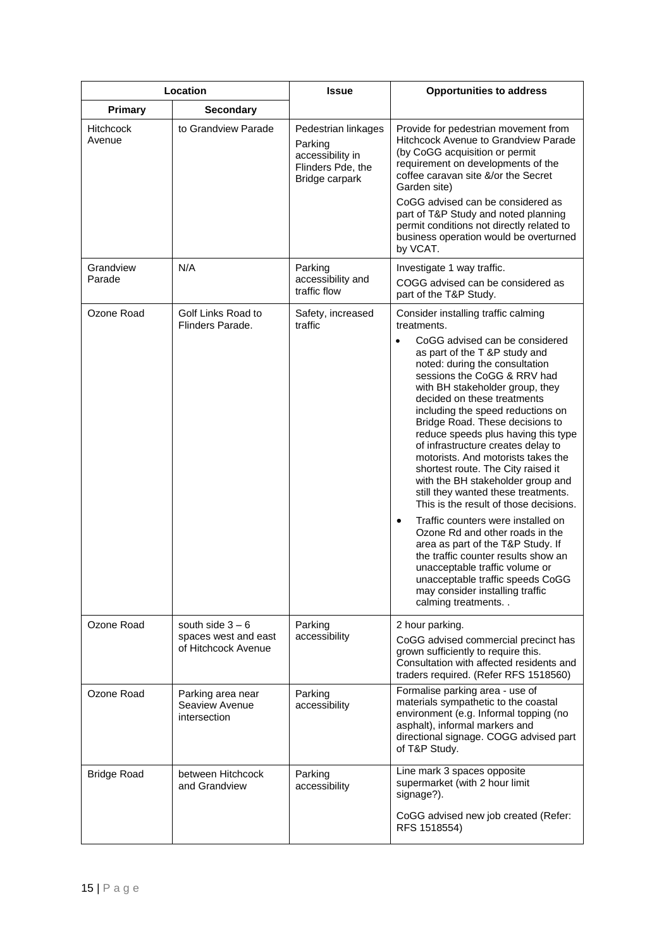| Location                   |                                                                   | <b>Issue</b>                                                                              | <b>Opportunities to address</b>                                                                                                                                                                                                                                                                                                                                                                                                                                                                                                                                                                                                                                                                                                                                                                                                                                                                                                  |
|----------------------------|-------------------------------------------------------------------|-------------------------------------------------------------------------------------------|----------------------------------------------------------------------------------------------------------------------------------------------------------------------------------------------------------------------------------------------------------------------------------------------------------------------------------------------------------------------------------------------------------------------------------------------------------------------------------------------------------------------------------------------------------------------------------------------------------------------------------------------------------------------------------------------------------------------------------------------------------------------------------------------------------------------------------------------------------------------------------------------------------------------------------|
| <b>Primary</b>             | <b>Secondary</b>                                                  |                                                                                           |                                                                                                                                                                                                                                                                                                                                                                                                                                                                                                                                                                                                                                                                                                                                                                                                                                                                                                                                  |
| <b>Hitchcock</b><br>Avenue | to Grandview Parade                                               | Pedestrian linkages<br>Parking<br>accessibility in<br>Flinders Pde, the<br>Bridge carpark | Provide for pedestrian movement from<br>Hitchcock Avenue to Grandview Parade<br>(by CoGG acquisition or permit<br>requirement on developments of the<br>coffee caravan site &/or the Secret<br>Garden site)<br>CoGG advised can be considered as<br>part of T&P Study and noted planning<br>permit conditions not directly related to<br>business operation would be overturned<br>by VCAT.                                                                                                                                                                                                                                                                                                                                                                                                                                                                                                                                      |
| Grandview<br>Parade        | N/A                                                               | Parking<br>accessibility and<br>traffic flow                                              | Investigate 1 way traffic.<br>COGG advised can be considered as<br>part of the T&P Study.                                                                                                                                                                                                                                                                                                                                                                                                                                                                                                                                                                                                                                                                                                                                                                                                                                        |
| Ozone Road                 | Golf Links Road to<br>Flinders Parade.                            | Safety, increased<br>traffic                                                              | Consider installing traffic calming<br>treatments.<br>CoGG advised can be considered<br>$\bullet$<br>as part of the T &P study and<br>noted: during the consultation<br>sessions the CoGG & RRV had<br>with BH stakeholder group, they<br>decided on these treatments<br>including the speed reductions on<br>Bridge Road. These decisions to<br>reduce speeds plus having this type<br>of infrastructure creates delay to<br>motorists. And motorists takes the<br>shortest route. The City raised it<br>with the BH stakeholder group and<br>still they wanted these treatments.<br>This is the result of those decisions.<br>Traffic counters were installed on<br>$\bullet$<br>Ozone Rd and other roads in the<br>area as part of the T&P Study. If<br>the traffic counter results show an<br>unacceptable traffic volume or<br>unacceptable traffic speeds CoGG<br>may consider installing traffic<br>calming treatments. . |
| Ozone Road                 | south side $3 - 6$<br>spaces west and east<br>of Hitchcock Avenue | Parking<br>accessibility                                                                  | 2 hour parking.<br>CoGG advised commercial precinct has<br>grown sufficiently to require this.<br>Consultation with affected residents and<br>traders required. (Refer RFS 1518560)                                                                                                                                                                                                                                                                                                                                                                                                                                                                                                                                                                                                                                                                                                                                              |
| Ozone Road                 | Parking area near<br>Seaview Avenue<br>intersection               | Parking<br>accessibility                                                                  | Formalise parking area - use of<br>materials sympathetic to the coastal<br>environment (e.g. Informal topping (no<br>asphalt), informal markers and<br>directional signage. COGG advised part<br>of T&P Study.                                                                                                                                                                                                                                                                                                                                                                                                                                                                                                                                                                                                                                                                                                                   |
| <b>Bridge Road</b>         | between Hitchcock<br>and Grandview                                | Parking<br>accessibility                                                                  | Line mark 3 spaces opposite<br>supermarket (with 2 hour limit<br>signage?).<br>CoGG advised new job created (Refer:<br>RFS 1518554)                                                                                                                                                                                                                                                                                                                                                                                                                                                                                                                                                                                                                                                                                                                                                                                              |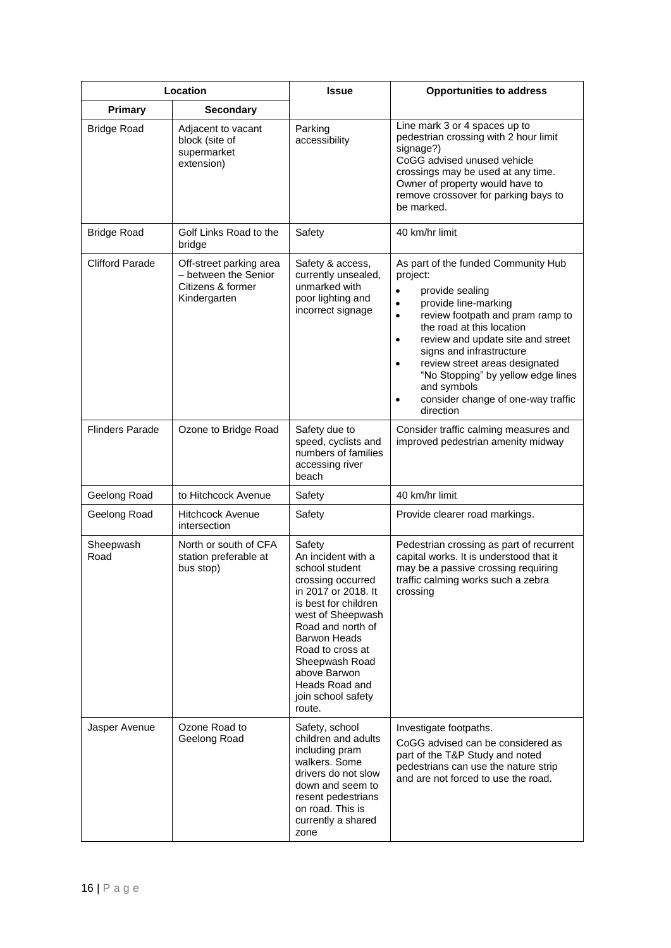|                        | Location                                                                             | <b>Issue</b>                                                                                                                                                                                                                                                                                | <b>Opportunities to address</b>                                                                                                                                                                                                                                                                                                                                                                                                         |
|------------------------|--------------------------------------------------------------------------------------|---------------------------------------------------------------------------------------------------------------------------------------------------------------------------------------------------------------------------------------------------------------------------------------------|-----------------------------------------------------------------------------------------------------------------------------------------------------------------------------------------------------------------------------------------------------------------------------------------------------------------------------------------------------------------------------------------------------------------------------------------|
| <b>Primary</b>         | <b>Secondary</b>                                                                     |                                                                                                                                                                                                                                                                                             |                                                                                                                                                                                                                                                                                                                                                                                                                                         |
| <b>Bridge Road</b>     | Adjacent to vacant<br>block (site of<br>supermarket<br>extension)                    | Parking<br>accessibility                                                                                                                                                                                                                                                                    | Line mark 3 or 4 spaces up to<br>pedestrian crossing with 2 hour limit<br>signage?)<br>CoGG advised unused vehicle<br>crossings may be used at any time.<br>Owner of property would have to<br>remove crossover for parking bays to<br>be marked.                                                                                                                                                                                       |
| <b>Bridge Road</b>     | Golf Links Road to the<br>bridge                                                     | Safety                                                                                                                                                                                                                                                                                      | 40 km/hr limit                                                                                                                                                                                                                                                                                                                                                                                                                          |
| <b>Clifford Parade</b> | Off-street parking area<br>- between the Senior<br>Citizens & former<br>Kindergarten | Safety & access,<br>currently unsealed,<br>unmarked with<br>poor lighting and<br>incorrect signage                                                                                                                                                                                          | As part of the funded Community Hub<br>project:<br>provide sealing<br>provide line-marking<br>$\bullet$<br>review footpath and pram ramp to<br>$\bullet$<br>the road at this location<br>review and update site and street<br>$\bullet$<br>signs and infrastructure<br>review street areas designated<br>$\bullet$<br>"No Stopping" by yellow edge lines<br>and symbols<br>consider change of one-way traffic<br>$\bullet$<br>direction |
| <b>Flinders Parade</b> | Ozone to Bridge Road                                                                 | Safety due to<br>speed, cyclists and<br>numbers of families<br>accessing river<br>beach                                                                                                                                                                                                     | Consider traffic calming measures and<br>improved pedestrian amenity midway                                                                                                                                                                                                                                                                                                                                                             |
| Geelong Road           | to Hitchcock Avenue                                                                  | Safety                                                                                                                                                                                                                                                                                      | 40 km/hr limit                                                                                                                                                                                                                                                                                                                                                                                                                          |
| Geelong Road           | <b>Hitchcock Avenue</b><br>intersection                                              | Safety                                                                                                                                                                                                                                                                                      | Provide clearer road markings.                                                                                                                                                                                                                                                                                                                                                                                                          |
| Sheepwash<br>Road      | North or south of CFA<br>station preferable at<br>bus stop)                          | Safety<br>An incident with a<br>school student<br>crossing occurred<br>in 2017 or 2018. It<br>is best for children<br>west of Sheepwash<br>Road and north of<br><b>Barwon Heads</b><br>Road to cross at<br>Sheepwash Road<br>above Barwon<br>Heads Road and<br>join school safety<br>route. | Pedestrian crossing as part of recurrent<br>capital works. It is understood that it<br>may be a passive crossing requiring<br>traffic calming works such a zebra<br>crossing                                                                                                                                                                                                                                                            |
| Jasper Avenue          | Ozone Road to<br>Geelong Road                                                        | Safety, school<br>children and adults<br>including pram<br>walkers. Some<br>drivers do not slow<br>down and seem to<br>resent pedestrians<br>on road. This is<br>currently a shared<br>zone                                                                                                 | Investigate footpaths.<br>CoGG advised can be considered as<br>part of the T&P Study and noted<br>pedestrians can use the nature strip<br>and are not forced to use the road.                                                                                                                                                                                                                                                           |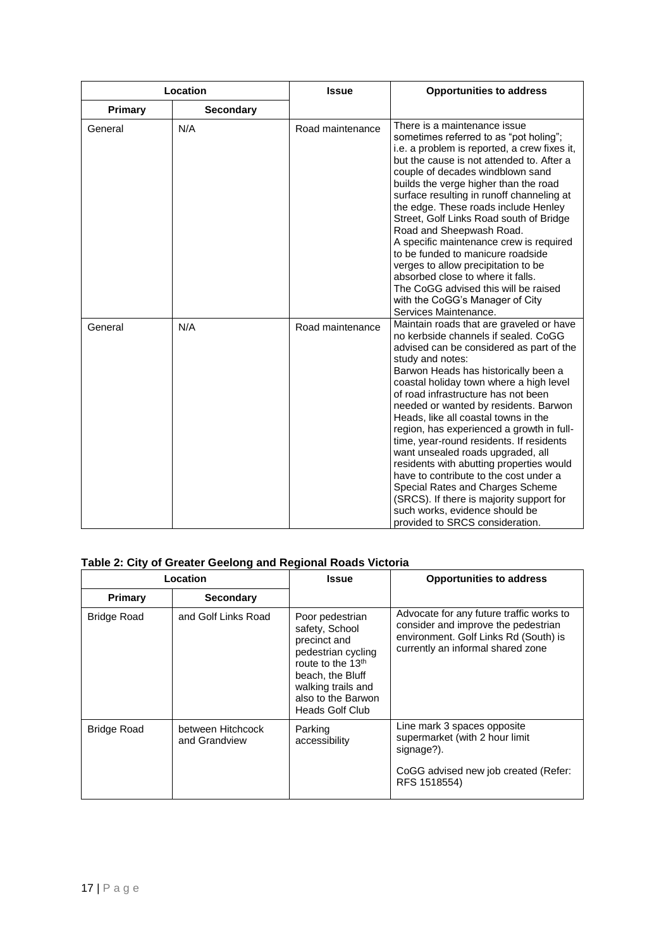| Location       |                  | <b>Issue</b>     | <b>Opportunities to address</b>                                                                                                                                                                                                                                                                                                                                                                                                                                                                                                                                                                                                                                                                                                      |
|----------------|------------------|------------------|--------------------------------------------------------------------------------------------------------------------------------------------------------------------------------------------------------------------------------------------------------------------------------------------------------------------------------------------------------------------------------------------------------------------------------------------------------------------------------------------------------------------------------------------------------------------------------------------------------------------------------------------------------------------------------------------------------------------------------------|
| <b>Primary</b> | <b>Secondary</b> |                  |                                                                                                                                                                                                                                                                                                                                                                                                                                                                                                                                                                                                                                                                                                                                      |
| General        | N/A              | Road maintenance | There is a maintenance issue<br>sometimes referred to as "pot holing";<br>i.e. a problem is reported, a crew fixes it,<br>but the cause is not attended to. After a<br>couple of decades windblown sand<br>builds the verge higher than the road<br>surface resulting in runoff channeling at<br>the edge. These roads include Henley<br>Street, Golf Links Road south of Bridge<br>Road and Sheepwash Road.<br>A specific maintenance crew is required<br>to be funded to manicure roadside<br>verges to allow precipitation to be<br>absorbed close to where it falls.<br>The CoGG advised this will be raised<br>with the CoGG's Manager of City<br>Services Maintenance.                                                         |
| General        | N/A              | Road maintenance | Maintain roads that are graveled or have<br>no kerbside channels if sealed. CoGG<br>advised can be considered as part of the<br>study and notes:<br>Barwon Heads has historically been a<br>coastal holiday town where a high level<br>of road infrastructure has not been<br>needed or wanted by residents. Barwon<br>Heads, like all coastal towns in the<br>region, has experienced a growth in full-<br>time, year-round residents. If residents<br>want unsealed roads upgraded, all<br>residents with abutting properties would<br>have to contribute to the cost under a<br>Special Rates and Charges Scheme<br>(SRCS). If there is majority support for<br>such works, evidence should be<br>provided to SRCS consideration. |

# **Table 2: City of Greater Geelong and Regional Roads Victoria**

| Location           |                                    | <b>Issue</b>                                                                                                                                                                                       | <b>Opportunities to address</b>                                                                                                                               |
|--------------------|------------------------------------|----------------------------------------------------------------------------------------------------------------------------------------------------------------------------------------------------|---------------------------------------------------------------------------------------------------------------------------------------------------------------|
| <b>Primary</b>     | <b>Secondary</b>                   |                                                                                                                                                                                                    |                                                                                                                                                               |
| <b>Bridge Road</b> | and Golf Links Road                | Poor pedestrian<br>safety, School<br>precinct and<br>pedestrian cycling<br>route to the 13 <sup>th</sup><br>beach, the Bluff<br>walking trails and<br>also to the Barwon<br><b>Heads Golf Club</b> | Advocate for any future traffic works to<br>consider and improve the pedestrian<br>environment. Golf Links Rd (South) is<br>currently an informal shared zone |
| <b>Bridge Road</b> | between Hitchcock<br>and Grandview | Parking<br>accessibility                                                                                                                                                                           | Line mark 3 spaces opposite<br>supermarket (with 2 hour limit<br>signage?).<br>CoGG advised new job created (Refer:<br>RFS 1518554)                           |